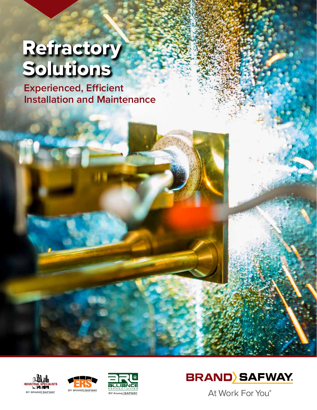# **Refractory** Solutions

**Experienced, Efficient Installation and Maintenance**









At Work For You®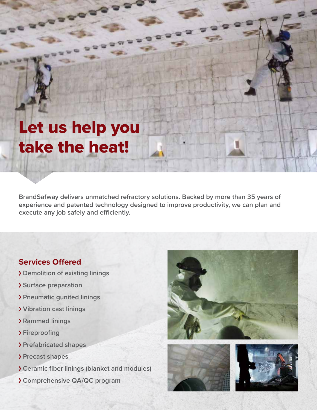## Let us help you take the heat!

**BrandSafway delivers unmatched refractory solutions. Backed by more than 35 years of experience and patented technology designed to improve productivity, we can plan and execute any job safely and efficiently.**

## **Services Offered**

- **Demolition of existing linings**
- **Surface preparation**
- **Pneumatic gunited linings**
- **Vibration cast linings**
- **Rammed linings**
- **Fireproofing**
- **Prefabricated shapes**
- **Precast shapes**
- **Ceramic fiber linings (blanket and modules)**
- **Comprehensive QA/QC program**





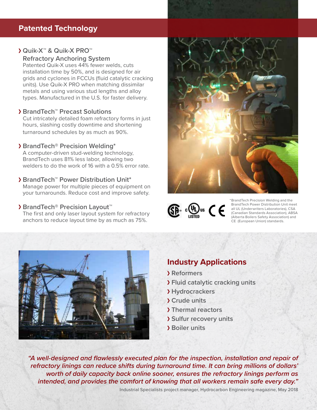## **Patented Technology**

## **Quik-X™ & Quik-X PRO™**

**Refractory Anchoring System**

Patented Quik-X uses 44% fewer welds, cuts installation time by 50%, and is designed for air grids and cyclones in FCCUs (fluid catalytic cracking units). Use Quik-X PRO when matching dissimilar metals and using various stud lengths and alloy types. Manufactured in the U.S. for faster delivery.

#### **BrandTech™ Precast Solutions**

Cut intricately detailed foam refractory forms in just hours, slashing costly downtime and shortening turnaround schedules by as much as 90%.

#### **BrandTech® Precision Welding\***

A computer-driven stud-welding technology, BrandTech uses 81% less labor, allowing two welders to do the work of 16 with a 0.5% error rate.

#### **BrandTech™ Power Distribution Unit\***

Manage power for multiple pieces of equipment on your turnarounds. Reduce cost and improve safety.

#### **BrandTech® Precision Layout™**

The first and only laser layout system for refractory anchors to reduce layout time by as much as 75%.





\*BrandTech Precision Welding and the BrandTech Power Distribution Unit meet all UL (Underwriters Laboratories), CSA (Canadian Standards Association), ABSA (Alberta Boilers Safety Association) and CE (European Union) standards.



## **Industry Applications**

- **Reformers**
- **Fluid catalytic cracking units**
- **Hydrocrackers**
- **Crude units**
- **Thermal reactors**
- **Sulfur recovery units**
- **Boiler units**

*"A well-designed and flawlessly executed plan for the inspection, installation and repair of refractory linings can reduce shifts during turnaround time. It can bring millions of dollars' worth of daily capacity back online sooner, ensures the refractory linings perform as intended, and provides the comfort of knowing that all workers remain safe every day."* 

Industrial Specialists project manager, Hydrocarbon Engineering magazine, May 2018